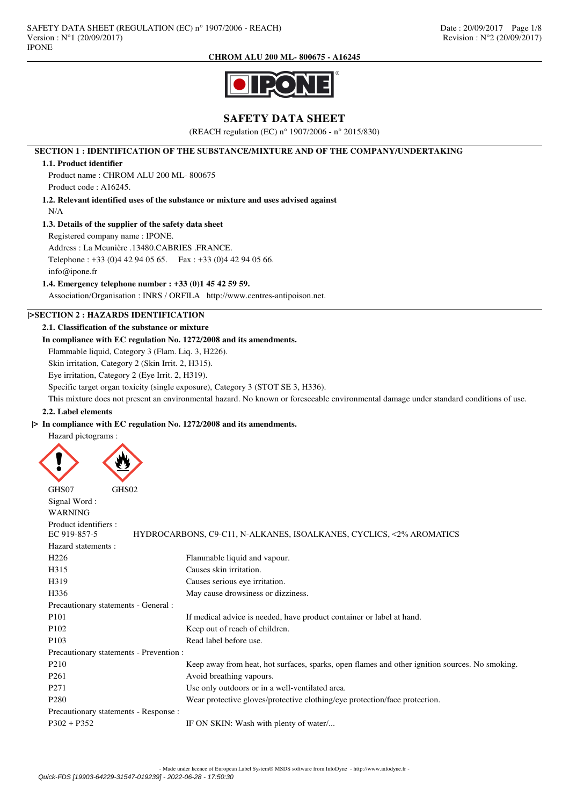

# **SAFETY DATA SHEET**

(REACH regulation (EC) n° 1907/2006 - n° 2015/830)

## **SECTION 1 : IDENTIFICATION OF THE SUBSTANCE/MIXTURE AND OF THE COMPANY/UNDERTAKING**

### **1.1. Product identifier**

Product name : CHROM ALU 200 ML- 800675 Product code : A16245.

**1.2. Relevant identified uses of the substance or mixture and uses advised against**

#### N/A

## **1.3. Details of the supplier of the safety data sheet**

Registered company name : IPONE.

Address : La Meunière .13480.CABRIES .FRANCE.

Telephone : +33 (0)4 42 94 05 65. Fax : +33 (0)4 42 94 05 66.

info@ipone.fr

### **1.4. Emergency telephone number : +33 (0)1 45 42 59 59.**

Association/Organisation : INRS / ORFILA http://www.centres-antipoison.net.

# **|>SECTION 2 : HAZARDS IDENTIFICATION**

## **2.1. Classification of the substance or mixture**

# **In compliance with EC regulation No. 1272/2008 and its amendments.**

Flammable liquid, Category 3 (Flam. Liq. 3, H226).

Skin irritation, Category 2 (Skin Irrit. 2, H315).

Eye irritation, Category 2 (Eye Irrit. 2, H319).

Specific target organ toxicity (single exposure), Category 3 (STOT SE 3, H336).

This mixture does not present an environmental hazard. No known or foreseeable environmental damage under standard conditions of use.

### **2.2. Label elements**

# **|> In compliance with EC regulation No. 1272/2008 and its amendments.**

Hazard pictograms :



| GHS07<br>GHS02                          |                                                                                                |
|-----------------------------------------|------------------------------------------------------------------------------------------------|
| Signal Word:                            |                                                                                                |
| <b>WARNING</b>                          |                                                                                                |
| Product identifiers :                   |                                                                                                |
| EC 919-857-5                            | HYDROCARBONS, C9-C11, N-ALKANES, ISOALKANES, CYCLICS, <2% AROMATICS                            |
| Hazard statements:                      |                                                                                                |
| H <sub>226</sub>                        | Flammable liquid and vapour.                                                                   |
| H315                                    | Causes skin irritation.                                                                        |
| H319                                    | Causes serious eye irritation.                                                                 |
| H336                                    | May cause drowsiness or dizziness.                                                             |
| Precautionary statements - General :    |                                                                                                |
| P <sub>101</sub>                        | If medical advice is needed, have product container or label at hand.                          |
| P <sub>102</sub>                        | Keep out of reach of children.                                                                 |
| P <sub>103</sub>                        | Read label before use.                                                                         |
| Precautionary statements - Prevention : |                                                                                                |
| P <sub>210</sub>                        | Keep away from heat, hot surfaces, sparks, open flames and other ignition sources. No smoking. |
| P <sub>261</sub>                        | Avoid breathing vapours.                                                                       |
| P <sub>271</sub>                        | Use only outdoors or in a well-ventilated area.                                                |
| P <sub>280</sub>                        | Wear protective gloves/protective clothing/eye protection/face protection.                     |
| Precautionary statements - Response :   |                                                                                                |
| $P302 + P352$                           | IF ON SKIN: Wash with plenty of water                                                          |
|                                         |                                                                                                |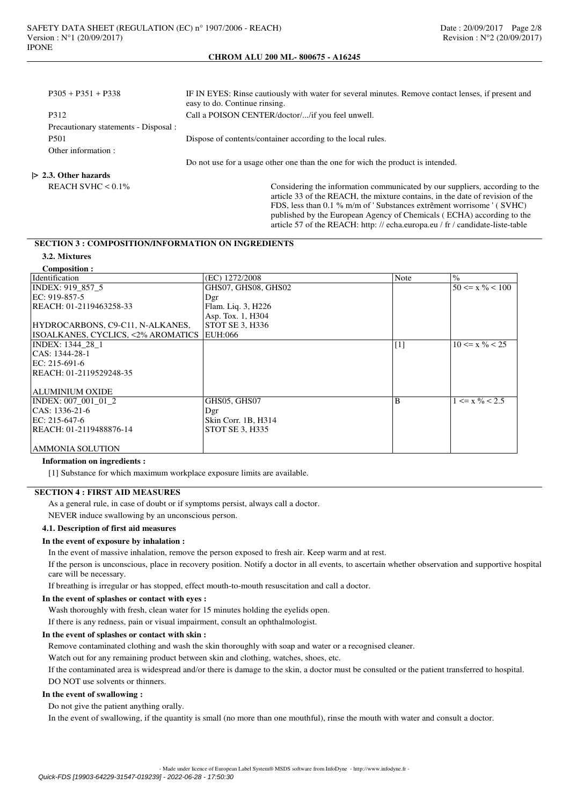| $P305 + P351 + P338$    |                                       | IF IN EYES: Rinse cautiously with water for several minutes. Remove contact lenses, if present and<br>easy to do. Continue rinsing.                                                                                                  |
|-------------------------|---------------------------------------|--------------------------------------------------------------------------------------------------------------------------------------------------------------------------------------------------------------------------------------|
| P312                    |                                       | Call a POISON CENTER/doctor//if you feel unwell.                                                                                                                                                                                     |
|                         | Precautionary statements - Disposal : |                                                                                                                                                                                                                                      |
| P <sub>501</sub>        |                                       | Dispose of contents/container according to the local rules.                                                                                                                                                                          |
| Other information :     |                                       |                                                                                                                                                                                                                                      |
|                         |                                       | Do not use for a usage other one than the one for wich the product is intended.                                                                                                                                                      |
| $> 2.3$ . Other hazards |                                       |                                                                                                                                                                                                                                      |
| REACH SVHC $< 0.1\%$    |                                       | Considering the information communicated by our suppliers, according to the<br>article 33 of the REACH, the mixture contains, in the date of revision of the<br>FDS, less than 0.1 % m/m of 'Substances extrêment worrisome ' (SVHC) |

published by the European Agency of Chemicals ( ECHA) according to the article 57 of the REACH: http: // echa.europa.eu / fr / candidate-liste-table

# **SECTION 3 : COMPOSITION/INFORMATION ON INGREDIENTS**

# **3.2. Mixtures**

| <b>Composition:</b>                |                     |                   |                                |
|------------------------------------|---------------------|-------------------|--------------------------------|
| Identification                     | (EC) 1272/2008      | Note              | $\frac{0}{0}$                  |
| INDEX: 919 857 5                   | GHS07, GHS08, GHS02 |                   | $50 \le x \frac{9}{6} \le 100$ |
| EC: 919-857-5                      | Dgr                 |                   |                                |
| REACH: 01-2119463258-33            | Flam. Liq. 3, H226  |                   |                                |
|                                    | Asp. Tox. 1, H304   |                   |                                |
| HYDROCARBONS, C9-C11, N-ALKANES,   | STOT SE 3, H336     |                   |                                |
| ISOALKANES, CYCLICS, <2% AROMATICS | EUH:066             |                   |                                |
| <b>INDEX: 1344 28 1</b>            |                     | $\lceil 1 \rceil$ | $10 \le x \frac{9}{6} \le 25$  |
| $ CAS: 1344-28-1$                  |                     |                   |                                |
| EC: 215-691-6                      |                     |                   |                                |
| REACH: 01-2119529248-35            |                     |                   |                                |
|                                    |                     |                   |                                |
| ALUMINIUM OXIDE                    |                     |                   |                                |
| INDEX: 007 001 01 2                | GHS05, GHS07        | B                 | $1 \le x \frac{9}{6} < 2.5$    |
| $ CAS: 1336-21-6$                  | Dgr                 |                   |                                |
| EC: 215-647-6                      | Skin Corr. 1B, H314 |                   |                                |
| REACH: 01-2119488876-14            | STOT SE 3, H335     |                   |                                |
|                                    |                     |                   |                                |
| AMMONIA SOLUTION                   |                     |                   |                                |

### **Information on ingredients :**

[1] Substance for which maximum workplace exposure limits are available.

# **SECTION 4 : FIRST AID MEASURES**

As a general rule, in case of doubt or if symptoms persist, always call a doctor.

NEVER induce swallowing by an unconscious person.

### **4.1. Description of first aid measures**

# **In the event of exposure by inhalation :**

In the event of massive inhalation, remove the person exposed to fresh air. Keep warm and at rest.

If the person is unconscious, place in recovery position. Notify a doctor in all events, to ascertain whether observation and supportive hospital care will be necessary.

If breathing is irregular or has stopped, effect mouth-to-mouth resuscitation and call a doctor.

#### **In the event of splashes or contact with eyes :**

Wash thoroughly with fresh, clean water for 15 minutes holding the eyelids open.

If there is any redness, pain or visual impairment, consult an ophthalmologist.

### **In the event of splashes or contact with skin :**

Remove contaminated clothing and wash the skin thoroughly with soap and water or a recognised cleaner.

Watch out for any remaining product between skin and clothing, watches, shoes, etc.

If the contaminated area is widespread and/or there is damage to the skin, a doctor must be consulted or the patient transferred to hospital. DO NOT use solvents or thinners.

#### **In the event of swallowing :**

Do not give the patient anything orally.

In the event of swallowing, if the quantity is small (no more than one mouthful), rinse the mouth with water and consult a doctor.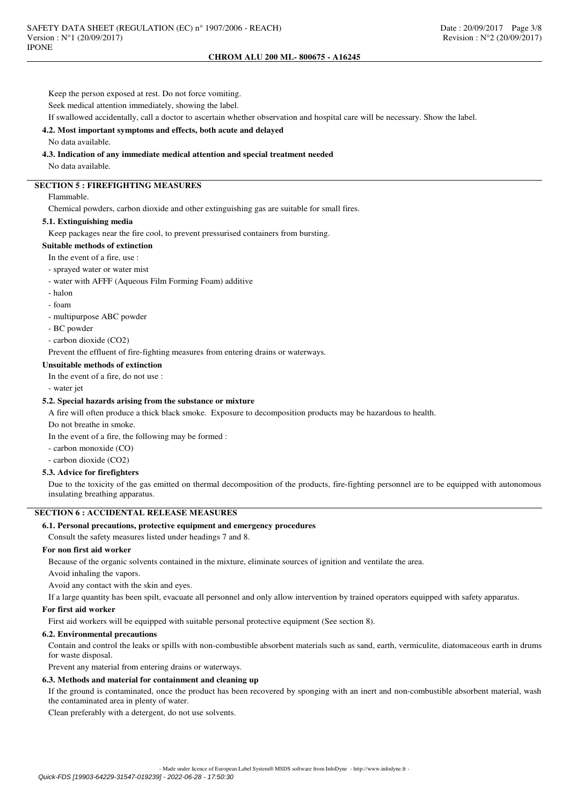Keep the person exposed at rest. Do not force vomiting. Seek medical attention immediately, showing the label.

If swallowed accidentally, call a doctor to ascertain whether observation and hospital care will be necessary. Show the label.

# **4.2. Most important symptoms and effects, both acute and delayed**

No data available.

## **4.3. Indication of any immediate medical attention and special treatment needed**

No data available.

# **SECTION 5 : FIREFIGHTING MEASURES**

Flammable.

Chemical powders, carbon dioxide and other extinguishing gas are suitable for small fires.

### **5.1. Extinguishing media**

Keep packages near the fire cool, to prevent pressurised containers from bursting.

### **Suitable methods of extinction**

In the event of a fire, use :

#### - sprayed water or water mist

- water with AFFF (Aqueous Film Forming Foam) additive

- halon
- foam
- multipurpose ABC powder
- BC powder

- carbon dioxide (CO2)

Prevent the effluent of fire-fighting measures from entering drains or waterways.

### **Unsuitable methods of extinction**

In the event of a fire, do not use :

- water jet

### **5.2. Special hazards arising from the substance or mixture**

A fire will often produce a thick black smoke. Exposure to decomposition products may be hazardous to health.

Do not breathe in smoke.

In the event of a fire, the following may be formed :

- carbon monoxide (CO)
- carbon dioxide (CO2)

### **5.3. Advice for firefighters**

Due to the toxicity of the gas emitted on thermal decomposition of the products, fire-fighting personnel are to be equipped with autonomous insulating breathing apparatus.

# **SECTION 6 : ACCIDENTAL RELEASE MEASURES**

### **6.1. Personal precautions, protective equipment and emergency procedures**

Consult the safety measures listed under headings 7 and 8.

### **For non first aid worker**

Because of the organic solvents contained in the mixture, eliminate sources of ignition and ventilate the area.

Avoid inhaling the vapors.

Avoid any contact with the skin and eyes.

If a large quantity has been spilt, evacuate all personnel and only allow intervention by trained operators equipped with safety apparatus.

### **For first aid worker**

First aid workers will be equipped with suitable personal protective equipment (See section 8).

### **6.2. Environmental precautions**

Contain and control the leaks or spills with non-combustible absorbent materials such as sand, earth, vermiculite, diatomaceous earth in drums for waste disposal.

Prevent any material from entering drains or waterways.

# **6.3. Methods and material for containment and cleaning up**

If the ground is contaminated, once the product has been recovered by sponging with an inert and non-combustible absorbent material, wash the contaminated area in plenty of water.

Clean preferably with a detergent, do not use solvents.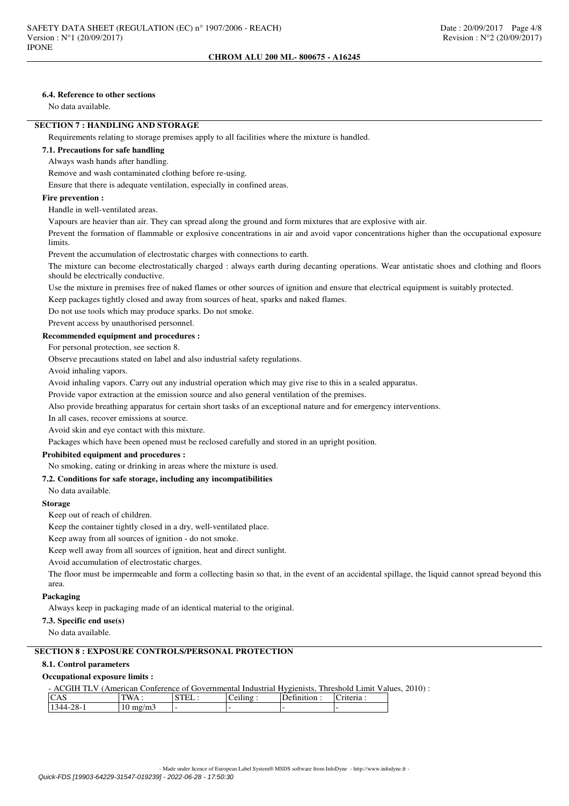# **6.4. Reference to other sections**

No data available.

# **SECTION 7 : HANDLING AND STORAGE**

Requirements relating to storage premises apply to all facilities where the mixture is handled.

## **7.1. Precautions for safe handling**

# Always wash hands after handling.

Remove and wash contaminated clothing before re-using.

Ensure that there is adequate ventilation, especially in confined areas.

#### **Fire prevention :**

Handle in well-ventilated areas.

Vapours are heavier than air. They can spread along the ground and form mixtures that are explosive with air.

Prevent the formation of flammable or explosive concentrations in air and avoid vapor concentrations higher than the occupational exposure limits.

Prevent the accumulation of electrostatic charges with connections to earth.

The mixture can become electrostatically charged : always earth during decanting operations. Wear antistatic shoes and clothing and floors should be electrically conductive.

Use the mixture in premises free of naked flames or other sources of ignition and ensure that electrical equipment is suitably protected.

Keep packages tightly closed and away from sources of heat, sparks and naked flames.

Do not use tools which may produce sparks. Do not smoke.

Prevent access by unauthorised personnel.

### **Recommended equipment and procedures :**

For personal protection, see section 8.

Observe precautions stated on label and also industrial safety regulations.

Avoid inhaling vapors.

Avoid inhaling vapors. Carry out any industrial operation which may give rise to this in a sealed apparatus.

Provide vapor extraction at the emission source and also general ventilation of the premises.

Also provide breathing apparatus for certain short tasks of an exceptional nature and for emergency interventions.

In all cases, recover emissions at source.

Avoid skin and eye contact with this mixture.

Packages which have been opened must be reclosed carefully and stored in an upright position.

# **Prohibited equipment and procedures :**

No smoking, eating or drinking in areas where the mixture is used.

### **7.2. Conditions for safe storage, including any incompatibilities**

No data available.

### **Storage**

Keep out of reach of children.

Keep the container tightly closed in a dry, well-ventilated place.

Keep away from all sources of ignition - do not smoke.

Keep well away from all sources of ignition, heat and direct sunlight.

Avoid accumulation of electrostatic charges.

The floor must be impermeable and form a collecting basin so that, in the event of an accidental spillage, the liquid cannot spread beyond this area.

# **Packaging**

Always keep in packaging made of an identical material to the original.

**7.3. Specific end use(s)**

No data available.

# **SECTION 8 : EXPOSURE CONTROLS/PERSONAL PROTECTION**

### **8.1. Control parameters**

# **Occupational exposure limits :**

| - ACGIH TLV (American Conference of Governmental Industrial Hygienists, Threshold Limit Values, 2010): |
|--------------------------------------------------------------------------------------------------------|
|--------------------------------------------------------------------------------------------------------|

| ັບມ                    | $\mathbf{M}$<br>. . | $\sim$<br>ຼ | $\overline{\phantom{a}}$<br>$1n\sigma$ | чоп |  |
|------------------------|---------------------|-------------|----------------------------------------|-----|--|
| . .<br>$\sim$ –<br>. . | m3<br>$m$ g<br>ΙV   |             |                                        |     |  |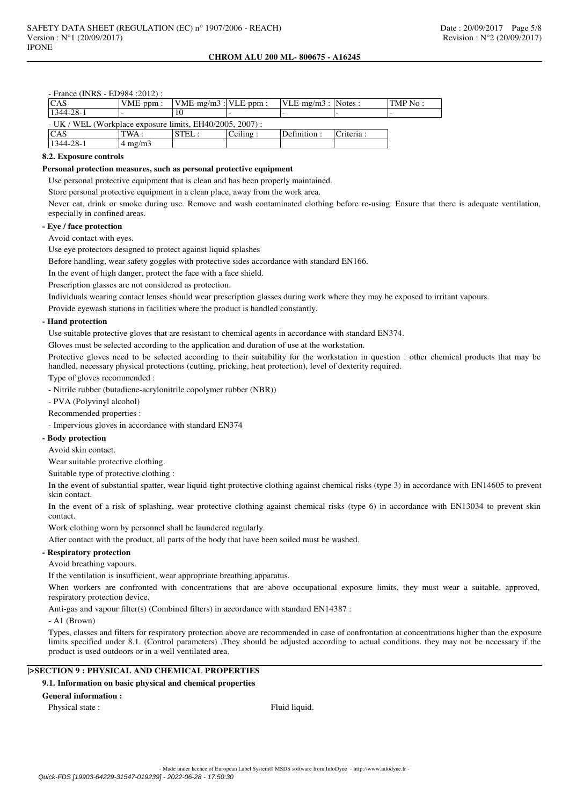- France (INRS - ED984 :2012) :

| <b>CAS</b>                                                  | $VME-ppm$ :              | $VME-mg/m3$ : VLE-ppm: |          | $VLE-mg/m3$ : Notes : |           | TMP No : |
|-------------------------------------------------------------|--------------------------|------------------------|----------|-----------------------|-----------|----------|
| 1344-28-1                                                   | $\overline{\phantom{0}}$ |                        |          |                       |           |          |
| $- UK$ / WEL (Workplace exposure limits, EH40/2005, 2007) : |                          |                        |          |                       |           |          |
| CAS                                                         | TWA :                    | STEL:                  | Ceiling: | Definition :          | Criteria: |          |
| 1344-28-1                                                   | $4 \text{ mg/m}$         |                        |          |                       |           |          |

## **8.2. Exposure controls**

## **Personal protection measures, such as personal protective equipment**

Use personal protective equipment that is clean and has been properly maintained.

Store personal protective equipment in a clean place, away from the work area.

Never eat, drink or smoke during use. Remove and wash contaminated clothing before re-using. Ensure that there is adequate ventilation, especially in confined areas.

# **- Eye / face protection**

Avoid contact with eyes.

Use eye protectors designed to protect against liquid splashes

Before handling, wear safety goggles with protective sides accordance with standard EN166.

In the event of high danger, protect the face with a face shield.

Prescription glasses are not considered as protection.

Individuals wearing contact lenses should wear prescription glasses during work where they may be exposed to irritant vapours.

Provide eyewash stations in facilities where the product is handled constantly.

#### **- Hand protection**

Use suitable protective gloves that are resistant to chemical agents in accordance with standard EN374.

Gloves must be selected according to the application and duration of use at the workstation.

Protective gloves need to be selected according to their suitability for the workstation in question : other chemical products that may be handled, necessary physical protections (cutting, pricking, heat protection), level of dexterity required.

Type of gloves recommended :

- Nitrile rubber (butadiene-acrylonitrile copolymer rubber (NBR))

- PVA (Polyvinyl alcohol)

Recommended properties :

- Impervious gloves in accordance with standard EN374

### **- Body protection**

Avoid skin contact.

Wear suitable protective clothing.

Suitable type of protective clothing :

In the event of substantial spatter, wear liquid-tight protective clothing against chemical risks (type 3) in accordance with EN14605 to prevent skin contact.

In the event of a risk of splashing, wear protective clothing against chemical risks (type 6) in accordance with EN13034 to prevent skin contact.

Work clothing worn by personnel shall be laundered regularly.

After contact with the product, all parts of the body that have been soiled must be washed.

## **- Respiratory protection**

Avoid breathing vapours.

If the ventilation is insufficient, wear appropriate breathing apparatus.

When workers are confronted with concentrations that are above occupational exposure limits, they must wear a suitable, approved, respiratory protection device.

Anti-gas and vapour filter(s) (Combined filters) in accordance with standard EN14387 :

- A1 (Brown)

Types, classes and filters for respiratory protection above are recommended in case of confrontation at concentrations higher than the exposure limits specified under 8.1. (Control parameters) .They should be adjusted according to actual conditions. they may not be necessary if the product is used outdoors or in a well ventilated area.

# **|>SECTION 9 : PHYSICAL AND CHEMICAL PROPERTIES**

# **9.1. Information on basic physical and chemical properties**

# **General information :**

Physical state : Fluid liquid.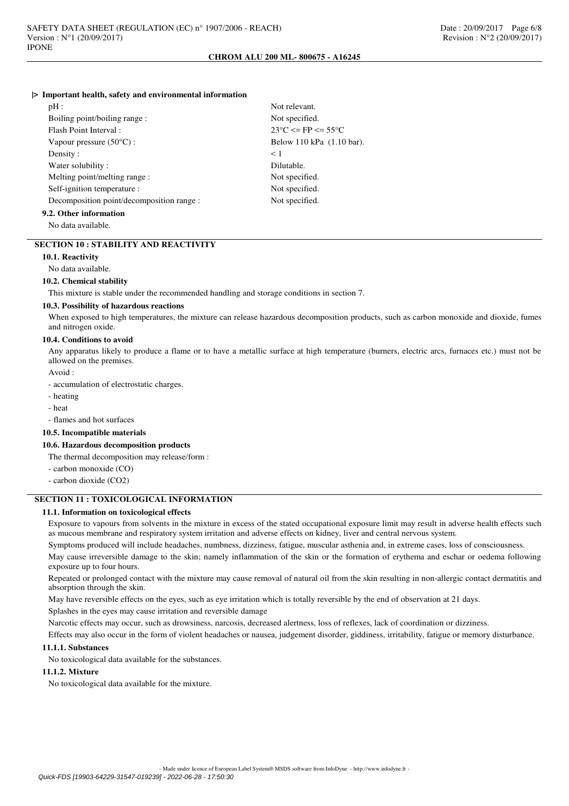#### **|> Important health, safety and environmental information**

| pH:                                       | Not relevant.                        |
|-------------------------------------------|--------------------------------------|
| Boiling point/boiling range:              | Not specified.                       |
| Flash Point Interval:                     | $23^{\circ}$ C $\leq$ FP $\leq$ 55°C |
| Vapour pressure $(50^{\circ}C)$ :         | Below 110 kPa (1.10 bar).            |
| Density:                                  | $\leq 1$                             |
| Water solubility:                         | Dilutable.                           |
| Melting point/melting range:              | Not specified.                       |
| Self-ignition temperature :               | Not specified.                       |
| Decomposition point/decomposition range : | Not specified.                       |
| 9.2. Other information                    |                                      |

No data available.

#### **SECTION 10 : STABILITY AND REACTIVITY**

#### **10.1. Reactivity**

No data available.

#### **10.2. Chemical stability**

This mixture is stable under the recommended handling and storage conditions in section 7.

## **10.3. Possibility of hazardous reactions**

When exposed to high temperatures, the mixture can release hazardous decomposition products, such as carbon monoxide and dioxide, fumes and nitrogen oxide.

#### **10.4. Conditions to avoid**

Any apparatus likely to produce a flame or to have a metallic surface at high temperature (burners, electric arcs, furnaces etc.) must not be allowed on the premises.

Avoid :

- accumulation of electrostatic charges.

- heating
- heat

- flames and hot surfaces

# **10.5. Incompatible materials**

#### **10.6. Hazardous decomposition products**

The thermal decomposition may release/form :

- carbon monoxide (CO)

- carbon dioxide (CO2)

# **SECTION 11 : TOXICOLOGICAL INFORMATION**

#### **11.1. Information on toxicological effects**

Exposure to vapours from solvents in the mixture in excess of the stated occupational exposure limit may result in adverse health effects such as mucous membrane and respiratory system irritation and adverse effects on kidney, liver and central nervous system.

Symptoms produced will include headaches, numbness, dizziness, fatigue, muscular asthenia and, in extreme cases, loss of consciousness.

May cause irreversible damage to the skin; namely inflammation of the skin or the formation of erythema and eschar or oedema following exposure up to four hours.

Repeated or prolonged contact with the mixture may cause removal of natural oil from the skin resulting in non-allergic contact dermatitis and absorption through the skin.

May have reversible effects on the eyes, such as eye irritation which is totally reversible by the end of observation at 21 days.

Splashes in the eyes may cause irritation and reversible damage

Narcotic effects may occur, such as drowsiness, narcosis, decreased alertness, loss of reflexes, lack of coordination or dizziness.

Effects may also occur in the form of violent headaches or nausea, judgement disorder, giddiness, irritability, fatigue or memory disturbance.

# **11.1.1. Substances**

No toxicological data available for the substances.

### **11.1.2. Mixture**

No toxicological data available for the mixture.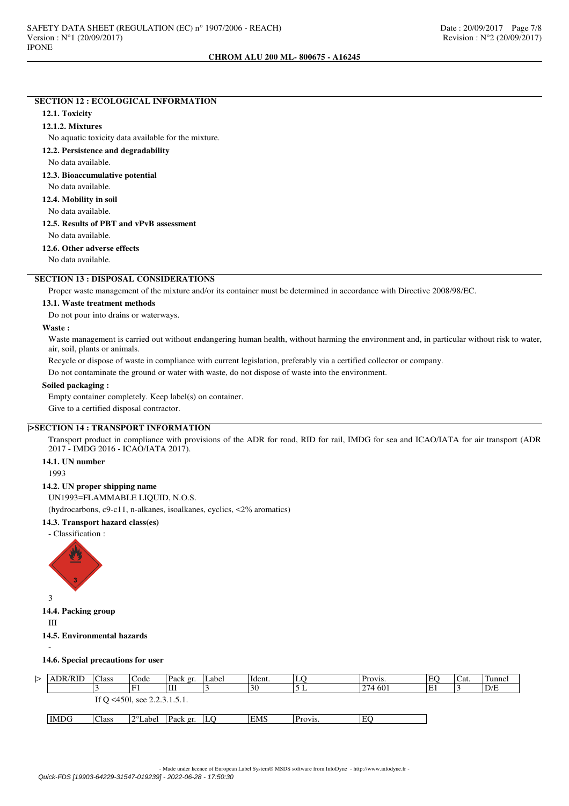# **SECTION 12 : ECOLOGICAL INFORMATION**

### **12.1. Toxicity**

#### **12.1.2. Mixtures**

No aquatic toxicity data available for the mixture.

**12.2. Persistence and degradability**

No data available.

# **12.3. Bioaccumulative potential**

No data available.

**12.4. Mobility in soil**

No data available.

**12.5. Results of PBT and vPvB assessment**

No data available.

# **12.6. Other adverse effects**

No data available.

# **SECTION 13 : DISPOSAL CONSIDERATIONS**

Proper waste management of the mixture and/or its container must be determined in accordance with Directive 2008/98/EC.

### **13.1. Waste treatment methods**

Do not pour into drains or waterways.

#### **Waste :**

Waste management is carried out without endangering human health, without harming the environment and, in particular without risk to water, air, soil, plants or animals.

Recycle or dispose of waste in compliance with current legislation, preferably via a certified collector or company.

Do not contaminate the ground or water with waste, do not dispose of waste into the environment.

### **Soiled packaging :**

Empty container completely. Keep label(s) on container.

Give to a certified disposal contractor.

# **|>SECTION 14 : TRANSPORT INFORMATION**

Transport product in compliance with provisions of the ADR for road, RID for rail, IMDG for sea and ICAO/IATA for air transport (ADR 2017 - IMDG 2016 - ICAO/IATA 2017).

### **14.1. UN number**

1993

# **14.2. UN proper shipping name**

UN1993=FLAMMABLE LIQUID, N.O.S.

(hydrocarbons, c9-c11, n-alkanes, isoalkanes, cyclics, <2% aromatics)

# **14.3. Transport hazard class(es)**

- Classification :



3

**14.4. Packing group**

III

## **14.5. Environmental hazards**

-

#### **14.6. Special precautions for user**

| <b>ADR/RID</b> | Class | Code                         | Pack gr. | ∟abel | Ident.     | LC      | Provis. | EC    | 'Cat. | Tunnel |
|----------------|-------|------------------------------|----------|-------|------------|---------|---------|-------|-------|--------|
|                |       |                              | Ш        |       | 30         | ∸       | 274 601 | $E_1$ |       | D/E    |
|                |       | If O <450l, see 2.2.3.1.5.1. |          |       |            |         |         |       |       |        |
|                |       |                              |          |       |            |         |         |       |       |        |
| <b>IMDG</b>    | Class | 2°Label                      | Pack gr. | LО    | <b>EMS</b> | Provis. | EC      |       |       |        |